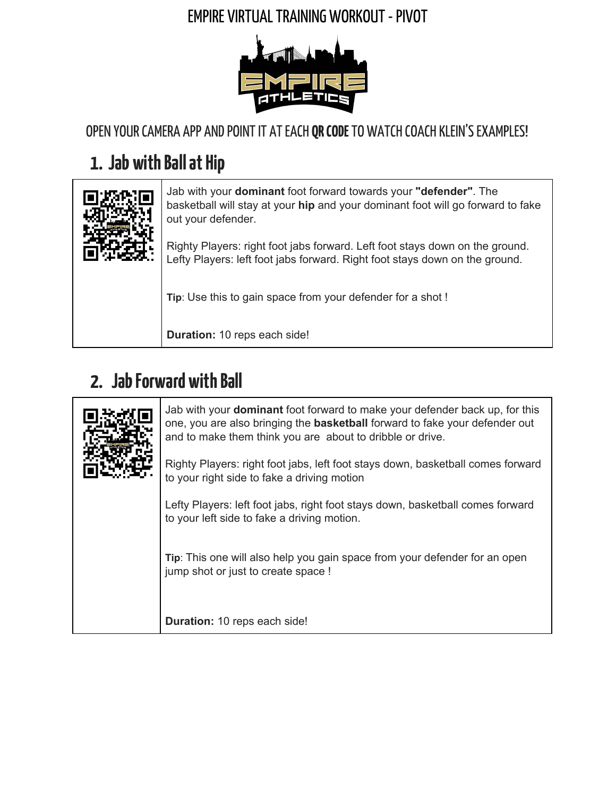#### **EMPIRE VIRTUAL TRAINING WORKOUT - PIVOT**



OPEN YOUR CAMERA APP AND POINT IT AT EACH QR CODE TO WATCH COACH KLEIN'S EXAMPLES!

# **1.** Jab with Ball at Hip

|  | Jab with your dominant foot forward towards your "defender". The<br>basketball will stay at your hip and your dominant foot will go forward to fake<br>out your defender. |
|--|---------------------------------------------------------------------------------------------------------------------------------------------------------------------------|
|  | Righty Players: right foot jabs forward. Left foot stays down on the ground.<br>Lefty Players: left foot jabs forward. Right foot stays down on the ground.               |
|  | Tip: Use this to gain space from your defender for a shot!                                                                                                                |
|  | Duration: 10 reps each side!                                                                                                                                              |

## **2.** Jab Forward with Ball

|  | Jab with your <b>dominant</b> foot forward to make your defender back up, for this<br>one, you are also bringing the <b>basketball</b> forward to fake your defender out<br>and to make them think you are about to dribble or drive. |
|--|---------------------------------------------------------------------------------------------------------------------------------------------------------------------------------------------------------------------------------------|
|  | Righty Players: right foot jabs, left foot stays down, basketball comes forward<br>to your right side to fake a driving motion                                                                                                        |
|  | Lefty Players: left foot jabs, right foot stays down, basketball comes forward<br>to your left side to fake a driving motion.                                                                                                         |
|  | Tip: This one will also help you gain space from your defender for an open<br>jump shot or just to create space !                                                                                                                     |
|  | Duration: 10 reps each side!                                                                                                                                                                                                          |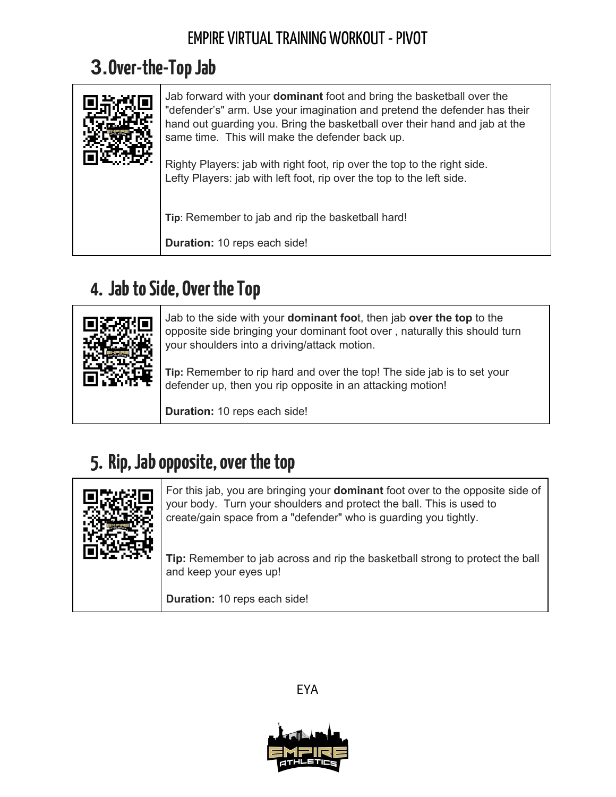#### EMPIRE VIRTUAL TRAINING WORKOUT - PIVOT

## **3.Over-the-TopJab**

| Jab forward with your <b>dominant</b> foot and bring the basketball over the<br>"defender's" arm. Use your imagination and pretend the defender has their<br>hand out guarding you. Bring the basketball over their hand and jab at the<br>same time. This will make the defender back up.<br>Righty Players: jab with right foot, rip over the top to the right side.<br>Lefty Players: jab with left foot, rip over the top to the left side. |
|-------------------------------------------------------------------------------------------------------------------------------------------------------------------------------------------------------------------------------------------------------------------------------------------------------------------------------------------------------------------------------------------------------------------------------------------------|
| Tip: Remember to jab and rip the basketball hard!<br>Duration: 10 reps each side!                                                                                                                                                                                                                                                                                                                                                               |

### **4. JabtoSide, OvertheTop**



Jab to the side with your **dominant foo**t, then jab **over the top** to the opposite side bringing your dominant foot over , naturally this should turn your shoulders into a driving/attack motion.

**Tip:** Remember to rip hard and over the top! The side jab is to set your defender up, then you rip opposite in an attacking motion!

**Duration:** 10 reps each side!

### **5. Rip,Jabopposite,overthetop**

| For this jab, you are bringing your <b>dominant</b> foot over to the opposite side of<br>your body. Turn your shoulders and protect the ball. This is used to<br>create/gain space from a "defender" who is guarding you tightly. |
|-----------------------------------------------------------------------------------------------------------------------------------------------------------------------------------------------------------------------------------|
| Tip: Remember to jab across and rip the basketball strong to protect the ball<br>and keep your eyes up!                                                                                                                           |
| Duration: 10 reps each side!                                                                                                                                                                                                      |

EYA